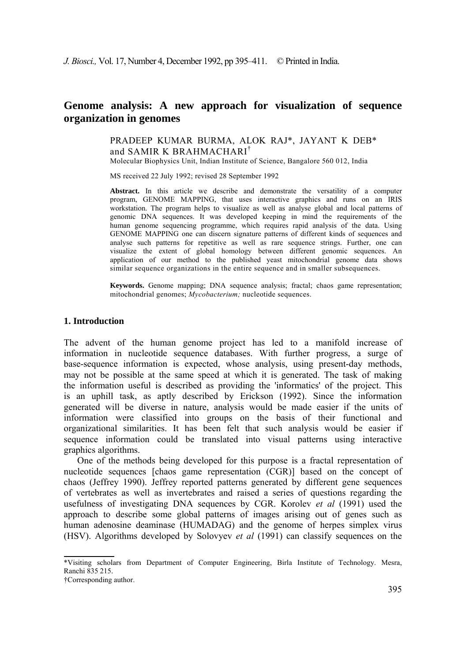# **Genome analysis: A new approach for visualization of sequence organization in genomes**

#### PRADEEP KUMAR BURMA, ALOK RAJ\*, JAYANT Κ DEB\* and SAMIR Κ BRAHMACHARI†

Molecular Biophysics Unit, Indian Institute of Science, Bangalore 560 012, India

MS received 22 July 1992; revised 28 September 1992

**Abstract.** In this article we describe and demonstrate the versatility of a computer program, GENOME MAPPING, that uses interactive graphics and runs on an IRIS workstation. The program helps to visualize as well as analyse global and local patterns of genomic DNA sequences. It was developed keeping in mind the requirements of the human genome sequencing programme, which requires rapid analysis of the data. Using GENOME MAPPING one can discern signature patterns of different kinds of sequences and analyse such patterns for repetitive as well as rare sequence strings. Further, one can visualize the extent of global homology between different genomic sequences. An application of our method to the published yeast mitochondrial genome data shows similar sequence organizations in the entire sequence and in smaller subsequences.

**Keywords.** Genome mapping; DNA sequence analysis; fractal; chaos game representation; mitochondrial genomes; *Mycobacterium;* nucleotide sequences.

#### **1. Introduction**

The advent of the human genome project has led to a manifold increase of information in nucleotide sequence databases. With further progress, a surge of base-sequence information is expected, whose analysis, using present-day methods, may not be possible at the same speed at which it is generated. The task of making the information useful is described as providing the 'informatics' of the project. This is an uphill task, as aptly described by Erickson (1992). Since the information generated will be diverse in nature, analysis would be made easier if the units of information were classified into groups on the basis of their functional and organizational similarities. It has been felt that such analysis would be easier if sequence information could be translated into visual patterns using interactive graphics algorithms.

One of the methods being developed for this purpose is a fractal representation of nucleotide sequences [chaos game representation (CGR)] based on the concept of chaos (Jeffrey 1990). Jeffrey reported patterns generated by different gene sequences of vertebrates as well as invertebrates and raised a series of questions regarding the usefulness of investigating DNA sequences by CGR. Korolev *et al* (1991) used the approach to describe some global patterns of images arising out of genes such as human adenosine deaminase (HUMADAG) and the genome of herpes simplex virus (HSV). Algorithms developed by Solovyev *et al* (1991) can classify sequences on the

<sup>\*</sup>Visiting scholars from Department of Computer Engineering, Birla Institute of Technology. Mesra, Ranchi 835 215.

<sup>†</sup>Corresponding author.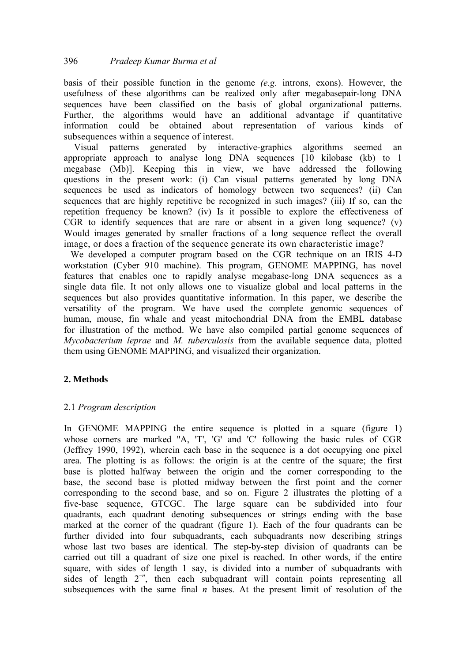basis of their possible function in the genome *(e.g.* introns, exons). However, the usefulness of these algorithms can be realized only after megabasepair-long DNA sequences have been classified on the basis of global organizational patterns. Further, the algorithms would have an additional advantage if quantitative information could be obtained about representation of various kinds of subsequences within a sequence of interest.

Visual patterns generated by interactive-graphics algorithms seemed an appropriate approach to analyse long DNA sequences [10 kilobase (kb) to 1 megabase (Mb)]. Keeping this in view, we have addressed the following questions in the present work: (i) Can visual patterns generated by long DNA sequences be used as indicators of homology between two sequences? (ii) Can sequences that are highly repetitive be recognized in such images? (iii) If so, can the repetition frequency be known? (iv) Is it possible to explore the effectiveness of CGR to identify sequences that are rare or absent in a given long sequence? (v) Would images generated by smaller fractions of a long sequence reflect the overall image, or does a fraction of the sequence generate its own characteristic image?

We developed a computer program based on the CGR technique on an IRIS 4-D workstation (Cyber 910 machine). This program, GENOME MAPPING, has novel features that enables one to rapidly analyse megabase-long DNA sequences as a single data file. It not only allows one to visualize global and local patterns in the sequences but also provides quantitative information. In this paper, we describe the versatility of the program. We have used the complete genomic sequences of human, mouse, fin whale and yeast mitochondrial DNA from the EMBL database for illustration of the method. We have also compiled partial genome sequences of *Mycobacterium leprae* and *Μ. tuberculosis* from the available sequence data, plotted them using GENOME MAPPING, and visualized their organization.

# **2. Methods**

# 2.1 *Program description*

In GENOME MAPPING the entire sequence is plotted in a square (figure 1) whose corners are marked "A, 'T', 'G' and 'C' following the basic rules of CGR (Jeffrey 1990, 1992), wherein each base in the sequence is a dot occupying one pixel area. The plotting is as follows: the origin is at the centre of the square; the first base is plotted halfway between the origin and the corner corresponding to the base, the second base is plotted midway between the first point and the corner corresponding to the second base, and so on. Figure 2 illustrates the plotting of a five-base sequence, GTCGC. The large square can be subdivided into four quadrants, each quadrant denoting subsequences or strings ending with the base marked at the corner of the quadrant (figure 1). Each of the four quadrants can be further divided into four subquadrants, each subquadrants now describing strings whose last two bases are identical. The step-by-step division of quadrants can be carried out till a quadrant of size one pixel is reached. In other words, if the entire square, with sides of length 1 say, is divided into a number of subquadrants with sides of length  $2^{-n}$ , then each subquadrant will contain points representing all subsequences with the same final *n* bases. At the present limit of resolution of the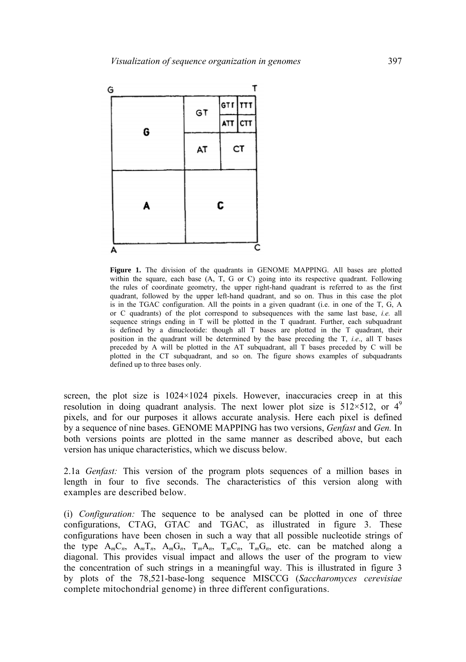

**Figure 1.** The division of the quadrants in GENOME MAPPING. All bases are plotted within the square, each base (A, T, G or C) going into its respective quadrant. Following the rules of coordinate geometry, the upper right-hand quadrant is referred to as the first quadrant, followed by the upper left-hand quadrant, and so on. Thus in this case the plot is in the TGAC configuration. All the points in a given quadrant (i.e. in one of the T, G, A or C quadrants) of the plot correspond to subsequences with the same last base, *i.e.* all sequence strings ending in Τ will be plotted in the Τ quadrant. Further, each subquadrant is defined by a dinucleotide: though all Τ bases are plotted in the Τ quadrant, their position in the quadrant will be determined by the base preceding the T, *i.e*., all Τ bases preceded by A will be plotted in the AT subquadrant, all Τ bases preceded by C will be plotted in the CT subquadrant, and so on. The figure shows examples of subquadrants defined up to three bases only.

screen, the plot size is  $1024 \times 1024$  pixels. However, inaccuracies creep in at this resolution in doing quadrant analysis. The next lower plot size is  $512 \times 512$ , or  $4^9$ pixels, and for our purposes it allows accurate analysis. Here each pixel is defined by a sequence of nine bases. GENOME MAPPING has two versions, *Genfast* and *Gen.* In both versions points are plotted in the same manner as described above, but each version has unique characteristics, which we discuss below.

2.1a *Genfast:* This version of the program plots sequences of a million bases in length in four to five seconds. The characteristics of this version along with examples are described below.

(i) *Configuration:* The sequence to be analysed can be plotted in one of three configurations, CTAG, GTAC and TGAC, as illustrated in figure 3. These configurations have been chosen in such a way that all possible nucleotide strings of the type  $A_mC_n$ ,  $A_mT_n$ ,  $A_mG_n$ ,  $T_mA_n$ ,  $T_mC_n$ ,  $T_mG_n$ , etc. can be matched along a diagonal. This provides visual impact and allows the user of the program to view the concentration of such strings in a meaningful way. This is illustrated in figure 3 by plots of the 78,521-base-long sequence MISCCG (*Saccharomyces cerevisiae*  complete mitochondrial genome) in three different configurations.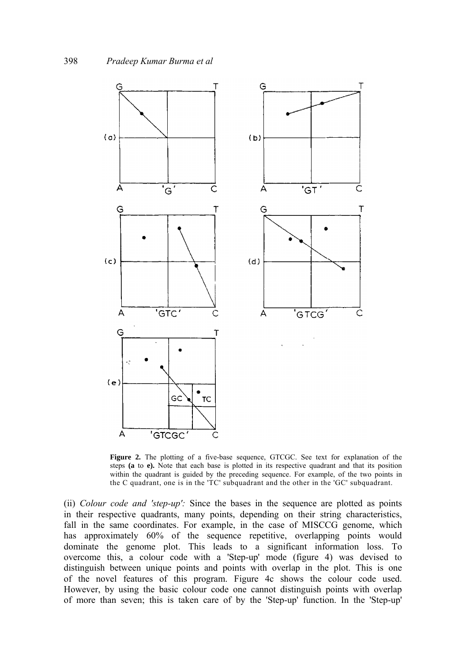

**Figure 2.** The plotting of a five-base sequence, GTCGC. See text for explanation of the steps **(a** to **e).** Note that each base is plotted in its respective quadrant and that its position within the quadrant is guided by the preceding sequence. For example, of the two points in the C quadrant, one is in the 'TC' subquadrant and the other in the 'GC' subquadrant.

(ii) *Colour code and 'step-up':* Since the bases in the sequence are plotted as points in their respective quadrants, many points, depending on their string characteristics, fall in the same coordinates. For example, in the case of MISCCG genome, which has approximately 60% of the sequence repetitive, overlapping points would dominate the genome plot. This leads to a significant information loss. To overcome this, a colour code with a 'Step-up' mode (figure 4) was devised to distinguish between unique points and points with overlap in the plot. This is one of the novel features of this program. Figure 4c shows the colour code used. However, by using the basic colour code one cannot distinguish points with overlap of more than seven; this is taken care of by the 'Step-up' function. In the 'Step-up'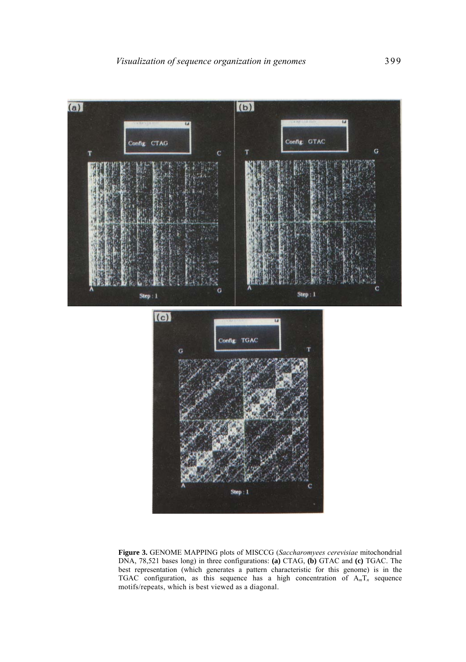

**Figure 3.** GENOME MAPPING plots of MISCCG (*Saccharomyees cerevisiae* mitochondrial DNA, 78,521 bases long) in three configurations: **(a)** CTAG, **(b)** GTAC and **(c)** TGAC. The best representation (which generates a pattern characteristic for this genome) is in the TGAC configuration, as this sequence has a high concentration of  $A<sub>m</sub>T<sub>n</sub>$  sequence motifs/repeats, which is best viewed as a diagonal.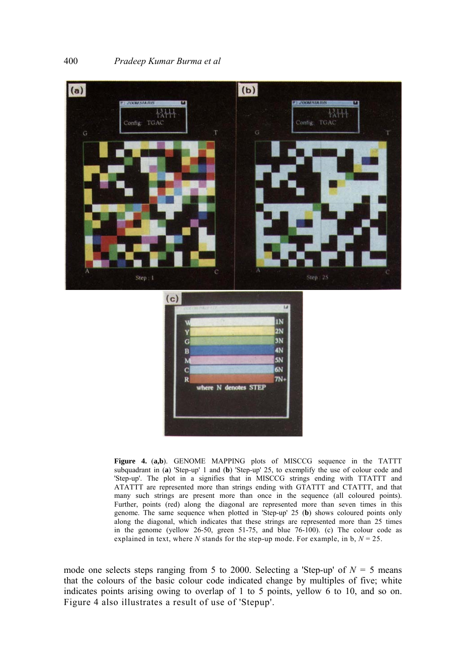

**Figure 4.** (**a,b**). GENOME MAPPING plots of MISCCG sequence in the TATTT subquadrant in (**a**) 'Step-up' 1 and (**b**) 'Step-up' 25, to exemplify the use of colour code and 'Step-up'. The plot in a signifies that in MISCCG strings ending with TTATTT and ATATTT are represented more than strings ending with GTATTT and CTATTT, and that many such strings are present more than once in the sequence (all coloured points). Further, points (red) along the diagonal are represented more than seven times in this genome. The same sequence when plotted in 'Step-up' 25 (**b**) shows coloured points only along the diagonal, which indicates that these strings are represented more than 25 times in the genome (yellow 26-50, green 51-75, and blue 76-100). (c) The colour code as explained in text, where *Ν* stands for the step-up mode. For example, in b, *Ν* = 25.

mode one selects steps ranging from 5 to 2000. Selecting a 'Step-up' of *Ν =* 5 means that the colours of the basic colour code indicated change by multiples of five; white indicates points arising owing to overlap of 1 to 5 points, yellow 6 to 10, and so on. Figure 4 also illustrates a result of use of 'Stepup'.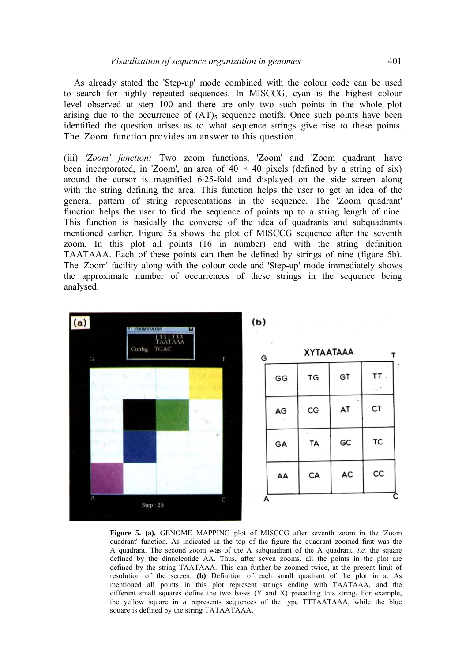As already stated the 'Step-up' mode combined with the colour code can be used to search for highly repeated sequences. In MISCCG, cyan is the highest colour level observed at step 100 and there are only two such points in the whole plot arising due to the occurrence of  $(AT)$ <sub>5</sub> sequence motifs. Once such points have been identified the question arises as to what sequence strings give rise to these points. The 'Zoom' function provides an answer to this question.

(iii) *'Zoom' function:* Two zoom functions, 'Zoom' and 'Zoom quadrant' have been incorporated, in 'Zoom', an area of  $40 \times 40$  pixels (defined by a string of six) around the cursor is magnified 6·25-fold and displayed on the side screen along with the string defining the area. This function helps the user to get an idea of the general pattern of string representations in the sequence. The 'Zoom quadrant' function helps the user to find the sequence of points up to a string length of nine. This function is basically the converse of the idea of quadrants and subquadrants mentioned earlier. Figure 5a shows the plot of MISCCG sequence after the seventh zoom. In this plot all points (16 in number) end with the string definition TAATAAA. Each of these points can then be defined by strings of nine (figure 5b). The 'Zoom' facility along with the colour code and 'Step-up' mode immediately shows the approximate number of occurrences of these strings in the sequence being analysed.



**Figure 5. (a).** GENOME MAPPING plot of MISCCG after seventh zoom in the 'Zoom quadrant' function. As indicated in the top of the figure the quadrant zoomed first was the A quadrant. The second zoom was of the A subquadrant of the A quadrant, *i.e.* the square defined by the dinucleotide AA. Thus, after seven zooms, all the points in the plot are defined by the string TAATAAA. This can further be zoomed twice, at the present limit of resolution of the screen. **(b)** Definition of each small quadrant of the plot in a. As mentioned all points in this plot represent strings ending with TAATAAA, and the different small squares define the two bases  $(Y \text{ and } X)$  preceding this string. For example, the yellow square in **a** represents sequences of the type TTTAATAAA, while the blue square is defined by the string TATAATAAA.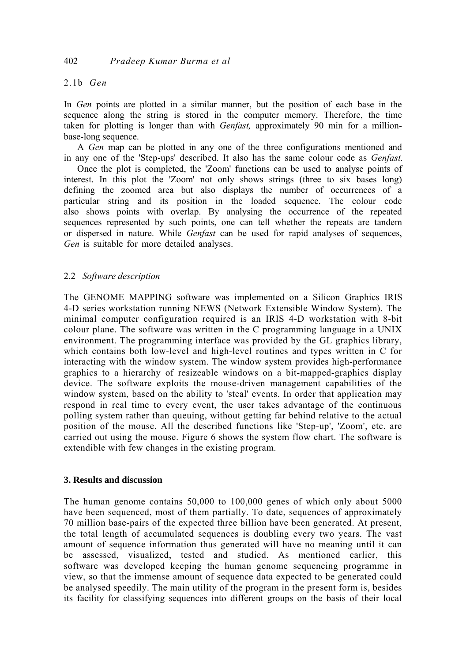## 2.1b *Gen*

In *Gen* points are plotted in a similar manner, but the position of each base in the sequence along the string is stored in the computer memory. Therefore, the time taken for plotting is longer than with *Genfast,* approximately 90 min for a millionbase-long sequence.

A *Gen* map can be plotted in any one of the three configurations mentioned and in any one of the 'Step-ups' described. It also has the same colour code as *Genfast.* 

Once the plot is completed, the 'Zoom' functions can be used to analyse points of interest. In this plot the 'Zoom' not only shows strings (three to six bases long) defining the zoomed area but also displays the number of occurrences of a particular string and its position in the loaded sequence. The colour code also shows points with overlap. By analysing the occurrence of the repeated sequences represented by such points, one can tell whether the repeats are tandem or dispersed in nature. While *Genfast* can be used for rapid analyses of sequences, *Gen* is suitable for more detailed analyses.

#### 2.2 *Software description*

The GENOME MAPPING software was implemented on a Silicon Graphics IRIS 4-D series workstation running NEWS (Network Extensible Window System). The minimal computer configuration required is an IRIS 4-D workstation with 8-bit colour plane. The software was written in the C programming language in a UNIX environment. The programming interface was provided by the GL graphics library, which contains both low-level and high-level routines and types written in C for interacting with the window system. The window system provides high-performance graphics to a hierarchy of resizeable windows on a bit-mapped-graphics display device. The software exploits the mouse-driven management capabilities of the window system, based on the ability to 'steal' events. In order that application may respond in real time to every event, the user takes advantage of the continuous polling system rather than queuing, without getting far behind relative to the actual position of the mouse. All the described functions like 'Step-up', 'Zoom', etc. are carried out using the mouse. Figure 6 shows the system flow chart. The software is extendible with few changes in the existing program.

#### **3. Results and discussion**

The human genome contains 50,000 to 100,000 genes of which only about 5000 have been sequenced, most of them partially. To date, sequences of approximately 70 million base-pairs of the expected three billion have been generated. At present, the total length of accumulated sequences is doubling every two years. The vast amount of sequence information thus generated will have no meaning until it can be assessed, visualized, tested and studied. As mentioned earlier, this software was developed keeping the human genome sequencing programme in view, so that the immense amount of sequence data expected to be generated could be analysed speedily. The main utility of the program in the present form is, besides its facility for classifying sequences into different groups on the basis of their local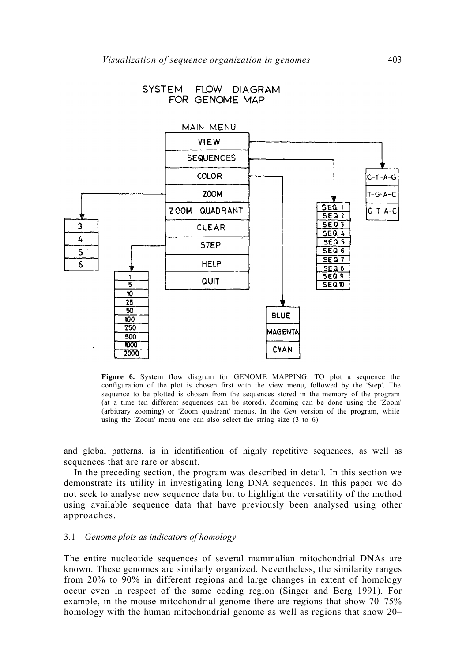

#### **SYSTEM** FLOW DIAGRAM FOR GENOME MAP

Figure 6. System flow diagram for GENOME MAPPING. TO plot a sequence the configuration of the plot is chosen first with the view menu, followed by the 'Step'. The sequence to be plotted is chosen from the sequences stored in the memory of the program (at a time ten different sequences can be stored). Zooming can be done using the 'Zoom' (arbitrary zooming) or 'Zoom quadrant' menus. In the *Gen* version of the program, while using the 'Zoom' menu one can also select the string size (3 to 6).

and global patterns, is in identification of highly repetitive sequences, as well as sequences that are rare or absent.

In the preceding section, the program was described in detail. In this section we demonstrate its utility in investigating long DNA sequences. In this paper we do not seek to analyse new sequence data but to highlight the versatility of the method using available sequence data that have previously been analysed using other approaches.

#### 3.1 *Genome plots as indicators of homology*

The entire nucleotide sequences of several mammalian mitochondrial DNAs are known. These genomes are similarly organized. Nevertheless, the similarity ranges from 20% to 90% in different regions and large changes in extent of homology occur even in respect of the same coding region (Singer and Berg 1991). For example, in the mouse mitochondrial genome there are regions that show 70–75% homology with the human mitochondrial genome as well as regions that show 20–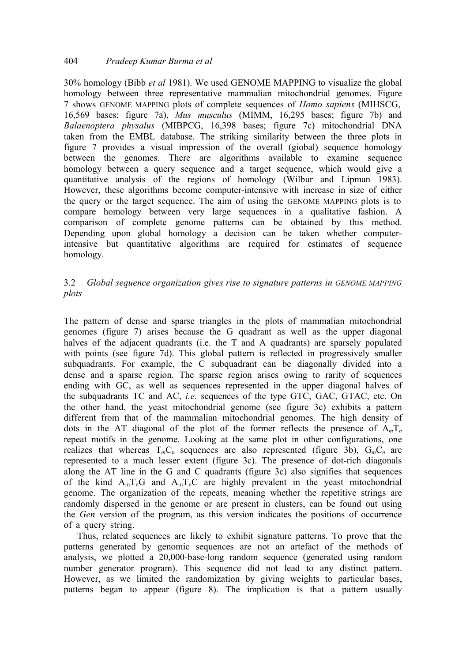## 404 *Pradeep Kumar Burma et al*

30% homology (Bibb *et al* 1981). We used GENOME MAPPING to visualize the global homology between three representative mammalian mitochondrial genomes. Figure 7 shows GENOME MAPPING plots of complete sequences of *Homo sapiens* (MIHSCG, 16,569 bases; figure 7a), *Mus musculus* (MIMM, 16,295 bases; figure 7b) and *Balaenoptera physalus* (MIBPCG, 16,398 bases; figure 7c) mitochondrial DNA taken from the EMBL database. The striking similarity between the three plots in figure 7 provides a visual impression of the overall (giobal) sequence homology between the genomes. There are algorithms available to examine sequence homology between a query sequence and a target sequence, which would give a quantitative analysis of the regions of homology (Wilbur and Lipman 1983). However, these algorithms become computer-intensive with increase in size of either the query or the target sequence. The aim of using the GENOME MAPPING plots is to compare homology between very large sequences in a qualitative fashion. A comparison of complete genome patterns can be obtained by this method. Depending upon global homology a decision can be taken whether computerintensive but quantitative algorithms are required for estimates of sequence homology.

# 3.2 *Global sequence organization gives rise to signature patterns in GENOME MAPPING plots*

The pattern of dense and sparse triangles in the plots of mammalian mitochondrial genomes (figure 7) arises because the G quadrant as well as the upper diagonal halves of the adjacent quadrants (i.e. the Τ and A quadrants) are sparsely populated with points (see figure 7d). This global pattern is reflected in progressively smaller subquadrants. For example, the C subquadrant can be diagonally divided into a dense and a sparse region. The sparse region arises owing to rarity of sequences ending with GC, as well as sequences represented in the upper diagonal halves of the subquadrants TC and AC, *i.e.* sequences of the type GTC, GAC, GTAC, etc. On the other hand, the yeast mitochondrial genome (see figure 3c) exhibits a pattern different from that of the mammalian mitochondrial genomes. The high density of dots in the AT diagonal of the plot of the former reflects the presence of  $A_mT_n$ repeat motifs in the genome. Looking at the same plot in other configurations, one realizes that whereas  $T<sub>m</sub>C<sub>n</sub>$  sequences are also represented (figure 3b),  $G<sub>m</sub>C<sub>n</sub>$  are represented to a much lesser extent (figure 3c). The presence of dot-rich diagonals along the AT line in the G and C quadrants (figure 3c) also signifies that sequences of the kind  $A_mT_nG$  and  $A_mT_nC$  are highly prevalent in the yeast mitochondrial genome. The organization of the repeats, meaning whether the repetitive strings are randomly dispersed in the genome or are present in clusters, can be found out using the *Gen* version of the program, as this version indicates the positions of occurrence of a query string.

Thus, related sequences are likely to exhibit signature patterns. To prove that the patterns generated by genomic sequences are not an artefact of the methods of analysis, we plotted a 20,000-base-long random sequence (generated using random number generator program). This sequence did not lead to any distinct pattern. However, as we limited the randomization by giving weights to particular bases, patterns began to appear (figure 8). The implication is that a pattern usually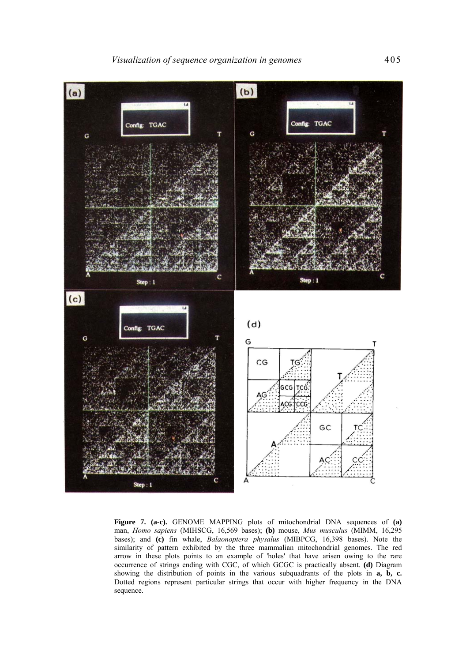

Figure 7. (a-c). GENOME MAPPING plots of mitochondrial DNA sequences of **(a)** man, *Homo sapiens* (MIHSCG, 16,569 bases); **(b)** mouse, *Mus musculus* (MIMM, 16,295 bases); and **(c)** fin whale, *Balaonoptera physalus* (MIBPCG, 16,398 bases). Note the similarity of pattern exhibited by the three mammalian mitochondrial genomes. The red arrow in these plots points to an example of 'holes' that have arisen owing to the rare occurrence of strings ending with CGC, of which GCGC is practically absent. **(d)** Diagram showing the distribution of points in the various subquadrants of the plots in **a, b, c.**  Dotted regions represent particular strings that occur with higher frequency in the DNA sequence.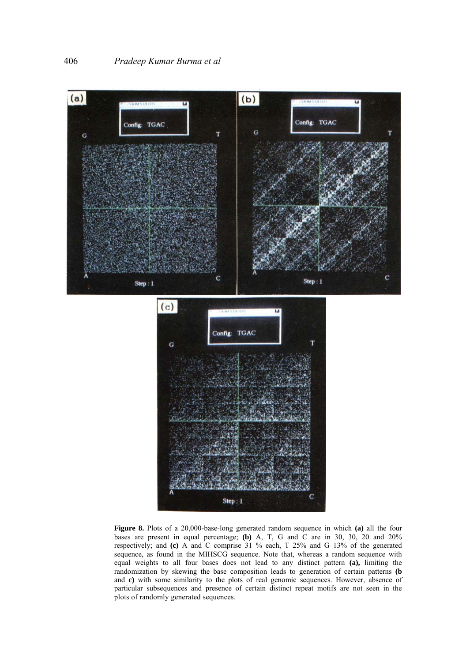

**Figure 8.** Plots of a 20,000-base-long generated random sequence in which **(a)** all the four bases are present in equal percentage; **(b)** A, T, G and C are in 30, 30, 20 and 20% respectively; and **(c)** A and C comprise 31 % each, Τ 25% and G 13% of the generated sequence, as found in the MIHSCG sequence. Note that, whereas a random sequence with equal weights to all four bases does not lead to any distinct pattern **(a),** limiting the randomization by skewing the base composition leads to generation of certain patterns **(b**  and **c)** with some similarity to the plots of real genomic sequences. However, absence of particular subsequences and presence of certain distinct repeat motifs are not seen in the plots of randomly generated sequences.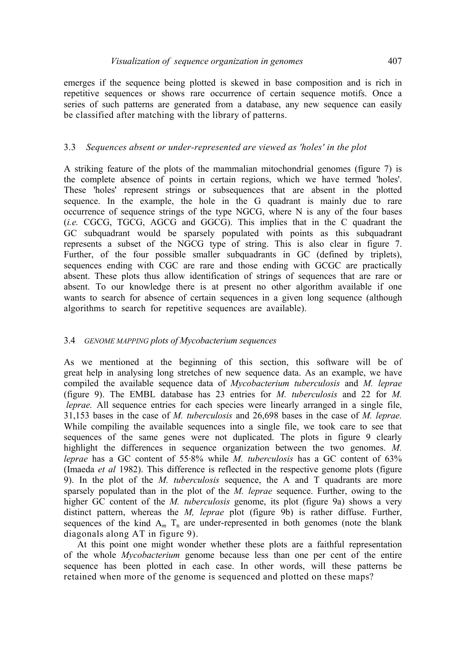emerges if the sequence being plotted is skewed in base composition and is rich in repetitive sequences or shows rare occurrence of certain sequence motifs. Once a series of such patterns are generated from a database, any new sequence can easily be classified after matching with the library of patterns.

#### 3.3 *Sequences absent or under-represented are viewed as 'holes' in the plot*

A striking feature of the plots of the mammalian mitochondrial genomes (figure 7) is the complete absence of points in certain regions, which we have termed 'holes'. These 'holes' represent strings or subsequences that are absent in the plotted sequence. In the example, the hole in the G quadrant is mainly due to rare occurrence of sequence strings of the type NGCG, where Ν is any of the four bases (*i.e.* CGCG, TGCG, AGCG and GGCG). This implies that in the C quadrant the GC subquadrant would be sparsely populated with points as this subquadrant represents a subset of the NGCG type of string. This is also clear in figure 7. Further, of the four possible smaller subquadrants in GC (defined by triplets), sequences ending with CGC are rare and those ending with GCGC are practically absent. These plots thus allow identification of strings of sequences that are rare or absent. To our knowledge there is at present no other algorithm available if one wants to search for absence of certain sequences in a given long sequence (although algorithms to search for repetitive sequences are available).

# 3.4 *GENOME MAPPING plots of Mycobacterium sequences*

As we mentioned at the beginning of this section, this software will be of great help in analysing long stretches of new sequence data. As an example, we have compiled the available sequence data of *Mycobacterium tuberculosis* and *M. leprae*  (figure 9). The EMBL database has 23 entries for *M. tuberculosis* and 22 for *M. leprae.* All sequence entries for each species were linearly arranged in a single file, 31,153 bases in the case of *M. tuberculosis* and 26,698 bases in the case of *M. leprae.*  While compiling the available sequences into a single file, we took care to see that sequences of the same genes were not duplicated. The plots in figure 9 clearly highlight the differences in sequence organization between the two genomes. *M. leprae* has a GC content of 55·8% while *M. tuberculosis* has a GC content of 63% (Imaeda *et al* 1982). This difference is reflected in the respective genome plots (figure 9). In the plot of the *M. tuberculosis* sequence, the A and Τ quadrants are more sparsely populated than in the plot of the *M. leprae* sequence. Further, owing to the higher GC content of the *M. tuberculosis* genome, its plot (figure 9a) shows a very distinct pattern, whereas the *M, leprae* plot (figure 9b) is rather diffuse. Further, sequences of the kind  $A_m$   $T_n$  are under-represented in both genomes (note the blank diagonals along AT in figure 9).

At this point one might wonder whether these plots are a faithful representation of the whole *Mycobacterium* genome because less than one per cent of the entire sequence has been plotted in each case. In other words, will these patterns be retained when more of the genome is sequenced and plotted on these maps?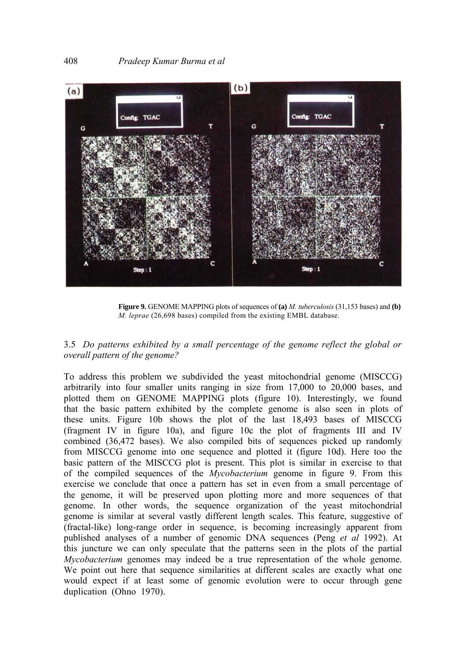

**Figure 9.** GENOME MAPPING plots of sequences of **(a)** *M. tuberculosis* (31,153 bases) and **(b)**  *M. leprae* (26,698 bases) compiled from the existing EMBL database.

# 3.5 *Do patterns exhibited by a small percentage of the genome reflect the global or overall pattern of the genome?*

To address this problem we subdivided the yeast mitochondrial genome (MISCCG) arbitrarily into four smaller units ranging in size from 17,000 to 20,000 bases, and plotted them on GENOME MAPPING plots (figure 10). Interestingly, we found that the basic pattern exhibited by the complete genome is also seen in plots of these units. Figure 10b shows the plot of the last 18,493 bases of MISCCG (fragment IV in figure 10a), and figure 10c the plot of fragments III and IV combined (36,472 bases). We also compiled bits of sequences picked up randomly from MISCCG genome into one sequence and plotted it (figure 10d). Here too the basic pattern of the MISCCG plot is present. This plot is similar in exercise to that of the compiled sequences of the *Mycobacterium* genome in figure 9. From this exercise we conclude that once a pattern has set in even from a small percentage of the genome, it will be preserved upon plotting more and more sequences of that genome. In other words, the sequence organization of the yeast mitochondrial genome is similar at several vastly different length scales. This feature, suggestive of (fractal-like) long-range order in sequence, is becoming increasingly apparent from published analyses of a number of genomic DNA sequences (Peng *et al* 1992). At this juncture we can only speculate that the patterns seen in the plots of the partial *Mycobacterium* genomes may indeed be a true representation of the whole genome. We point out here that sequence similarities at different scales are exactly what one would expect if at least some of genomic evolution were to occur through gene duplication (Ohno 1970).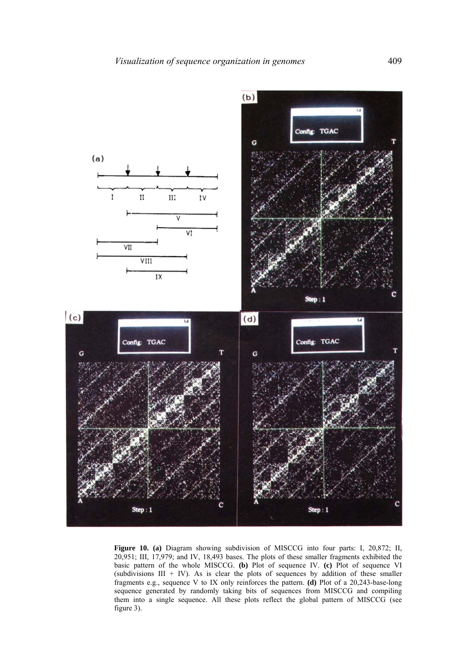

**Figure 10. (a)** Diagram showing subdivision of MISCCG into four parts: I, 20,872; II, 20,951; III, 17,979; and IV, 18,493 bases. The plots of these smaller fragments exhibited the basic pattern of the whole MISCCG. **(b)** Plot of sequence IV. **(c)** Plot of sequence VI (subdivisions  $III + IV$ ). As is clear the plots of sequences by addition of these smaller fragments e.g., sequence V to IX only reinforces the pattern. **(d)** Plot of a 20,243-base-long sequence generated by randomly taking bits of sequences from MISCCG and compiling them into a single sequence. All these plots reflect the global pattern of MISCCG (see figure 3).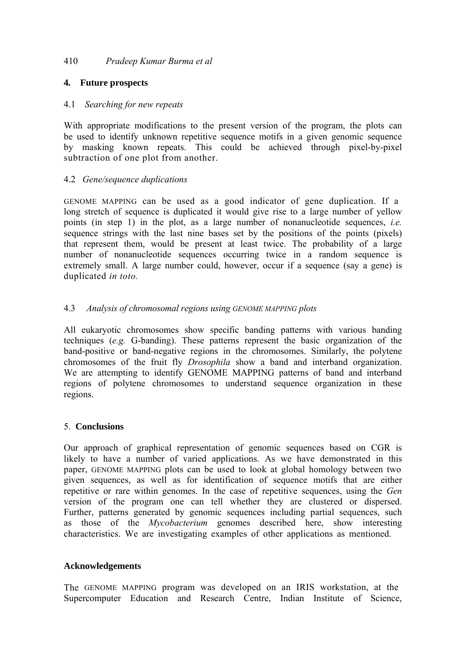# 410 *Pradeep Kumar Burma et al*

# **4***.* **Future prospects**

#### 4.1 *Searching for new repeats*

With appropriate modifications to the present version of the program, the plots can be used to identify unknown repetitive sequence motifs in a given genomic sequence by masking known repeats. This could be achieved through pixel-by-pixel subtraction of one plot from another.

# 4.2 *Gene/sequence duplications*

GENOME MAPPING can be used as a good indicator of gene duplication. If a long stretch of sequence is duplicated it would give rise to a large number of yellow points (in step 1) in the plot, as a large number of nonanucleotide sequences, *i.e.*  sequence strings with the last nine bases set by the positions of the points (pixels) that represent them, would be present at least twice. The probability of a large number of nonanucleotide sequences occurring twice in a random sequence is extremely small. A large number could, however, occur if a sequence (say a gene) is duplicated *in toto.* 

# 4.3 *Analysis of chromosomal regions using GENOME MAPPING plots*

All eukaryotic chromosomes show specific banding patterns with various banding techniques (*e.g.* G-banding). These patterns represent the basic organization of the band-positive or band-negative regions in the chromosomes. Similarly, the polytene chromosomes of the fruit fly *Drosophila* show a band and interband organization. We are attempting to identify GENOME MAPPING patterns of band and interband regions of polytene chromosomes to understand sequence organization in these regions.

#### 5. **Conclusions**

Our approach of graphical representation of genomic sequences based on CGR is likely to have a number of varied applications. As we have demonstrated in this paper, GENOME MAPPING plots can be used to look at global homology between two given sequences, as well as for identification of sequence motifs that are either repetitive or rare within genomes. In the case of repetitive sequences, using the *Gen*  version of the program one can tell whether they are clustered or dispersed. Further, patterns generated by genomic sequences including partial sequences, such as those of the *Mycobacterium* genomes described here, show interesting characteristics. We are investigating examples of other applications as mentioned.

#### **Acknowledgements**

The GENOME MAPPING program was developed on an IRIS workstation, at the Supercomputer Education and Research Centre, Indian Institute of Science,